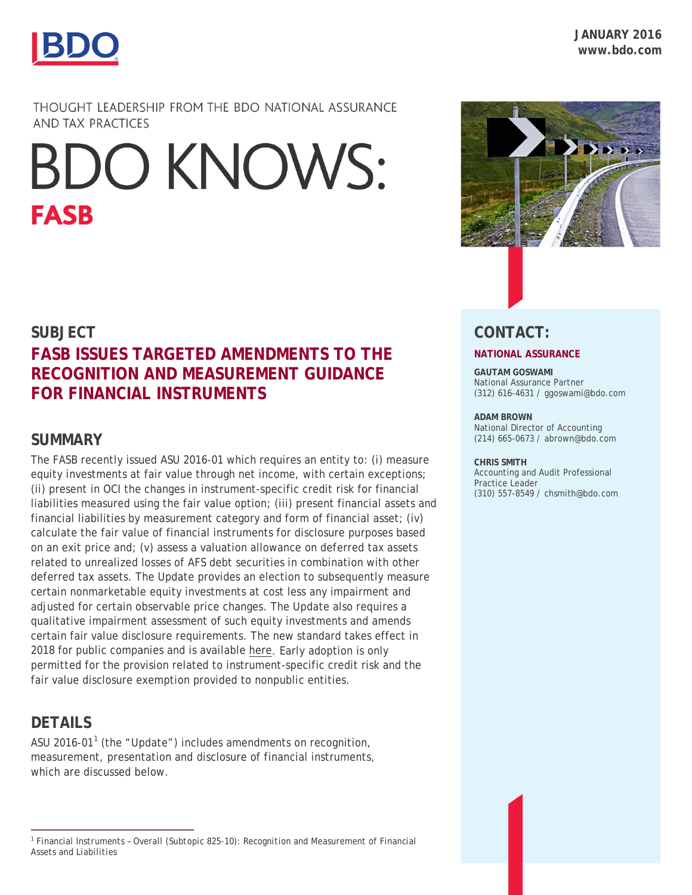

BDO **FLASH** ALERT FASB 1 **JANUARY 2016 www.bdo.com**

THOUGHT LEADERSHIP FROM THE BDO NATIONAL ASSURANCE AND TAX PRACTICES

# **BDO KNOWS: FASB**

## **SUBJECT FASB ISSUES TARGETED AMENDMENTS TO THE RECOGNITION AND MEASUREMENT GUIDANCE FOR FINANCIAL INSTRUMENTS**

## **SUMMARY**

The FASB recently issued ASU 2016-01 which requires an entity to: (i) measure equity investments at fair value through net income, with certain exceptions; (ii) present in OCI the changes in instrument-specific credit risk for financial liabilities measured using the fair value option; (iii) present financial assets and financial liabilities by measurement category and form of financial asset; (iv) calculate the fair value of financial instruments for disclosure purposes based on an exit price and; (v) assess a valuation allowance on deferred tax assets related to unrealized losses of AFS debt securities in combination with other deferred tax assets. The Update provides an election to subsequently measure certain nonmarketable equity investments at cost less any impairment and adjusted for certain observable price changes. The Update also requires a qualitative impairment assessment of such equity investments and amends certain fair value disclosure requirements. The new standard takes effect in 2018 for public companies and is available [here.](http://www.fasb.org/jsp/FASB/Document_C/DocumentPage?cid=1176167762170&acceptedDisclaimer=true) Early adoption is only permitted for the provision related to instrument-specific credit risk and the fair value disclosure exemption provided to nonpublic entities.

## **DETAILS**

 $\overline{a}$ 

ASU 20[1](#page-0-0)6-01<sup>1</sup> (the "Update") includes amendments on recognition, measurement, presentation and disclosure of financial instruments, which are discussed below.



## **CONTACT:**

#### **NATIONAL ASSURANCE**

**GAUTAM GOSWAMI** National Assurance Partner (312) 616-4631 / ggoswami@bdo.com

#### **ADAM BROWN**

National Director of Accounting (214) 665-0673 / abrown@bdo.com

#### **CHRIS SMITH**

Accounting and Audit Professional Practice Leader (310) 557-8549 / chsmith@bdo.com

<span id="page-0-0"></span><sup>1</sup> *Financial Instruments – Overall (Subtopic 825-10): Recognition and Measurement of Financial Assets and Liabilities*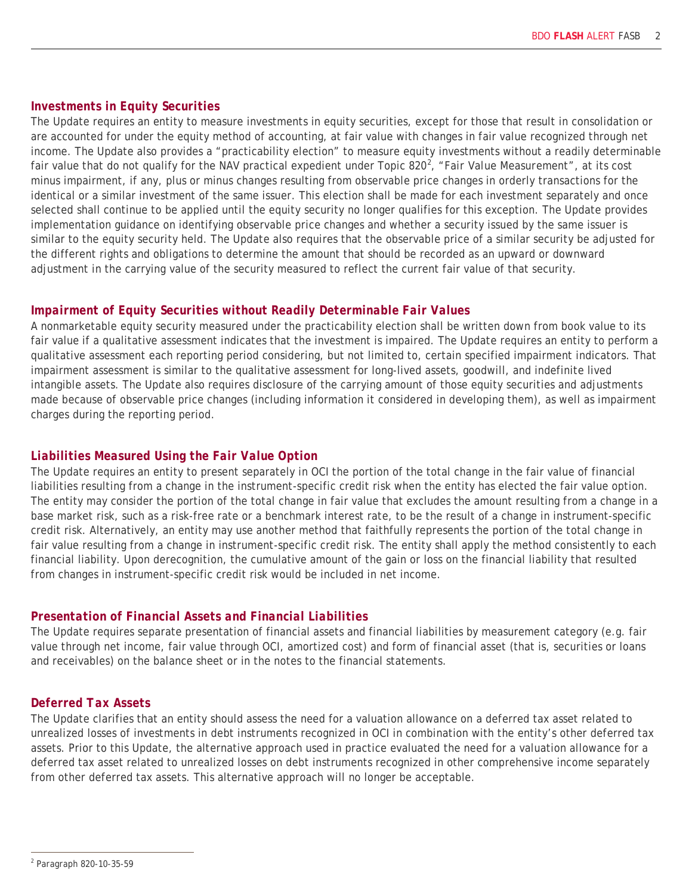#### *Investments in Equity Securities*

The Update requires an entity to measure investments in equity securities, except for those that result in consolidation or are accounted for under the equity method of accounting, at fair value with changes in fair value recognized through net income. The Update also provides a "practicability election" to measure equity investments without a readily determinable fair value that do not qualify for the NAV practical expedient under Topic 8[2](#page-1-0)0<sup>2</sup>, "Fair Value Measurement", at its cost minus impairment, if any, plus or minus changes resulting from observable price changes in orderly transactions for the identical or a similar investment of the same issuer. This election shall be made for each investment separately and once selected shall continue to be applied until the equity security no longer qualifies for this exception. The Update provides implementation guidance on identifying observable price changes and whether a security issued by the same issuer is similar to the equity security held. The Update also requires that the observable price of a similar security be adjusted for the different rights and obligations to determine the amount that should be recorded as an upward or downward adjustment in the carrying value of the security measured to reflect the current fair value of that security.

#### *Impairment of Equity Securities without Readily Determinable Fair Values*

A nonmarketable equity security measured under the practicability election shall be written down from book value to its fair value if a qualitative assessment indicates that the investment is impaired. The Update requires an entity to perform a qualitative assessment each reporting period considering, but not limited to, certain specified impairment indicators. That impairment assessment is similar to the qualitative assessment for long-lived assets, goodwill, and indefinite lived intangible assets. The Update also requires disclosure of the carrying amount of those equity securities and adjustments made because of observable price changes (including information it considered in developing them), as well as impairment charges during the reporting period.

#### *Liabilities Measured Using the Fair Value Option*

The Update requires an entity to present separately in OCI the portion of the total change in the fair value of financial liabilities resulting from a change in the instrument-specific credit risk when the entity has elected the fair value option. The entity may consider the portion of the total change in fair value that excludes the amount resulting from a change in a base market risk, such as a risk-free rate or a benchmark interest rate, to be the result of a change in instrument-specific credit risk. Alternatively, an entity may use another method that faithfully represents the portion of the total change in fair value resulting from a change in instrument-specific credit risk. The entity shall apply the method consistently to each financial liability. Upon derecognition, the cumulative amount of the gain or loss on the financial liability that resulted from changes in instrument-specific credit risk would be included in net income.

#### *Presentation of Financial Assets and Financial Liabilities*

The Update requires separate presentation of financial assets and financial liabilities by measurement category (e.g. fair value through net income, fair value through OCI, amortized cost) and form of financial asset (that is, securities or loans and receivables) on the balance sheet or in the notes to the financial statements.

#### *Deferred Tax Assets*

The Update clarifies that an entity should assess the need for a valuation allowance on a deferred tax asset related to unrealized losses of investments in debt instruments recognized in OCI in combination with the entity's other deferred tax assets. Prior to this Update, the alternative approach used in practice evaluated the need for a valuation allowance for a deferred tax asset related to unrealized losses on debt instruments recognized in other comprehensive income separately from other deferred tax assets. This alternative approach will no longer be acceptable.

<span id="page-1-0"></span> $\overline{a}$ <sup>2</sup> *Paragraph 820-10-35-59*